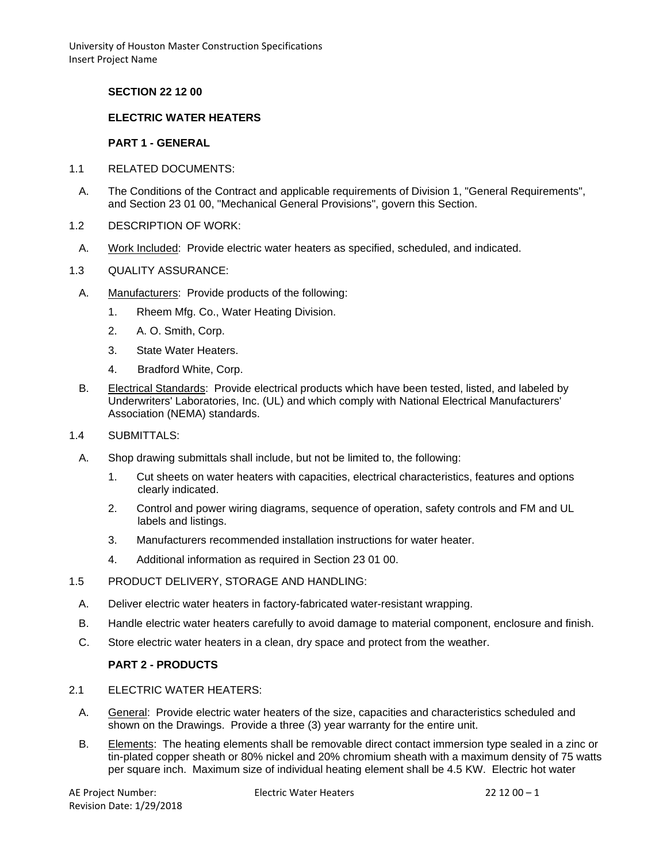University of Houston Master Construction Specifications Insert Project Name

## **SECTION 22 12 00**

## **ELECTRIC WATER HEATERS**

#### **PART 1 - GENERAL**

- 1.1 RELATED DOCUMENTS:
	- A. The Conditions of the Contract and applicable requirements of Division 1, "General Requirements", and Section 23 01 00, "Mechanical General Provisions", govern this Section.
- 1.2 DESCRIPTION OF WORK:
- A. Work Included: Provide electric water heaters as specified, scheduled, and indicated.
- 1.3 QUALITY ASSURANCE:
	- A. Manufacturers: Provide products of the following:
		- 1. Rheem Mfg. Co., Water Heating Division.
		- 2. A. O. Smith, Corp.
		- 3. State Water Heaters.
		- 4. Bradford White, Corp.
	- B. Electrical Standards: Provide electrical products which have been tested, listed, and labeled by Underwriters' Laboratories, Inc. (UL) and which comply with National Electrical Manufacturers' Association (NEMA) standards.
- 1.4 SUBMITTALS:
	- A. Shop drawing submittals shall include, but not be limited to, the following:
		- 1. Cut sheets on water heaters with capacities, electrical characteristics, features and options clearly indicated.
		- 2. Control and power wiring diagrams, sequence of operation, safety controls and FM and UL labels and listings.
		- 3. Manufacturers recommended installation instructions for water heater.
		- 4. Additional information as required in Section 23 01 00.
- 1.5 PRODUCT DELIVERY, STORAGE AND HANDLING:
	- A. Deliver electric water heaters in factory-fabricated water-resistant wrapping.
	- B. Handle electric water heaters carefully to avoid damage to material component, enclosure and finish.
	- C. Store electric water heaters in a clean, dry space and protect from the weather.

## **PART 2 - PRODUCTS**

- 2.1 ELECTRIC WATER HEATERS:
	- A. General: Provide electric water heaters of the size, capacities and characteristics scheduled and shown on the Drawings. Provide a three (3) year warranty for the entire unit.
	- B. Elements: The heating elements shall be removable direct contact immersion type sealed in a zinc or tin-plated copper sheath or 80% nickel and 20% chromium sheath with a maximum density of 75 watts per square inch. Maximum size of individual heating element shall be 4.5 KW. Electric hot water